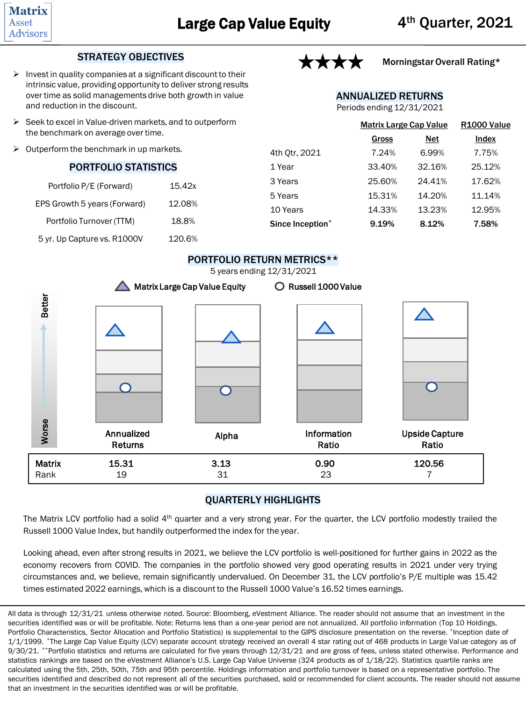

## STRATEGY OBJECTIVES

- $\triangleright$  Invest in quality companies at a significant discount to their intrinsic value, providing opportunity to deliver strong results over time as solid managements drive both growth in value and reduction in the discount.
- ➢ Seek to excel in Value-driven markets, and to outperform the benchmark on average over time.
- $\triangleright$  Outperform the benchmark in up markets.

### PORTFOLIO STATISTICS

| Portfolio P/E (Forward)      | 15.42x |
|------------------------------|--------|
| EPS Growth 5 years (Forward) | 12.08% |
| Portfolio Turnover (TTM)     | 18.8%  |
| 5 yr. Up Capture vs. R1000V  | 120.6% |



## Morningstar Overall Rating\*

ANNUALIZED RETURNS

Periods ending 12/31/2021

|                  | <b>Matrix Large Cap Value</b> | R <sub>1000</sub> Value |        |  |
|------------------|-------------------------------|-------------------------|--------|--|
|                  | Gross                         | Net                     | Index  |  |
| 4th Otr, 2021    | 7.24%                         | 6.99%                   | 7.75%  |  |
| 1 Year           | 33.40%                        | 32.16%                  | 25.12% |  |
| 3 Years          | 25.60%                        | 24.41%                  | 17.62% |  |
| 5 Years          | 15.31%                        | 14.20%                  | 11.14% |  |
| 10 Years         | 14.33%                        | 13.23%                  | 12.95% |  |
| Since Inception* | 9.19%                         | 8.12%                   | 7.58%  |  |



## QUARTERLY HIGHLIGHTS

The Matrix LCV portfolio had a solid 4<sup>th</sup> quarter and a very strong year. For the quarter, the LCV portfolio modestly trailed the Russell 1000 Value Index, but handily outperformed the index for the year.

Looking ahead, even after strong results in 2021, we believe the LCV portfolio is well-positioned for further gains in 2022 as the economy recovers from COVID. The companies in the portfolio showed very good operating results in 2021 under very trying circumstances and, we believe, remain significantly undervalued. On December 31, the LCV portfolio's P/E multiple was 15.42 times estimated 2022 earnings, which is a discount to the Russell 1000 Value's 16.52 times earnings.

All data is through 12/31/21 unless otherwise noted. Source: Bloomberg, eVestment Alliance. The reader should not assume that an investment in the securities identified was or will be profitable. Note: Returns less than a one-year period are not annualized. All portfolio information (Top 10 Holdings, Portfolio Characteristics, Sector Allocation and Portfolio Statistics) is supplemental to the GIPS disclosure presentation on the reverse. \*Inception date of 1/1/1999. \*The Large Cap Value Equity (LCV) separate account strategy received an overall 4 star rating out of 468 products in Large Value category as of 9/30/21. \*\*Portfolio statistics and returns are calculated for five years through 12/31/21 and are gross of fees, unless stated otherwise. Performance and statistics rankings are based on the eVestment Alliance's U.S. Large Cap Value Universe (324 products as of 1/18/22). Statistics quartile ranks are calculated using the 5th, 25th, 50th, 75th and 95th percentile. Holdings information and portfolio turnover is based on a representative portfolio. The securities identified and described do not represent all of the securities purchased, sold or recommended for client accounts. The reader should not assume that an investment in the securities identified was or will be profitable.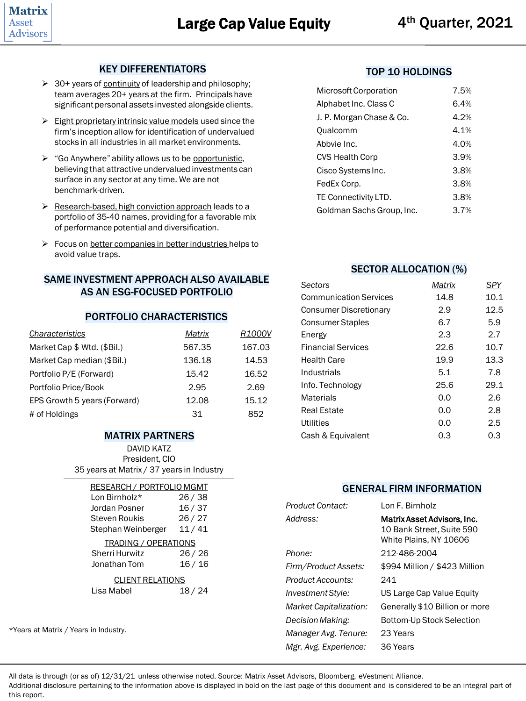## KEY DIFFERENTIATORS

- ➢ 30+ years of continuity of leadership and philosophy; team averages 20+ years at the firm. Principals have significant personal assets invested alongside clients.
- $\triangleright$  Eight proprietary intrinsic value models used since the firm's inception allow for identification of undervalued stocks in all industries in all market environments.
- $\triangleright$  "Go Anywhere" ability allows us to be opportunistic, believing that attractive undervalued investments can surface in any sector at any time. We are not benchmark-driven.
- ➢ Research-based, high conviction approach leads to a portfolio of 35-40 names, providing for a favorable mix of performance potential and diversification.
- ➢ Focus on better companies in better industries helps to avoid value traps.

## SAME INVESTMENT APPROACH ALSO AVAILABLE AS AN ESG-FOCUSED PORTFOLIO

#### PORTFOLIO CHARACTERISTICS

| Characteristics              | Matrix | R1000V |
|------------------------------|--------|--------|
| Market Cap \$ Wtd. (\$Bil.)  | 567.35 | 167.03 |
| Market Cap median (\$Bil.)   | 136.18 | 14.53  |
| Portfolio P/E (Forward)      | 15.42  | 16.52  |
| Portfolio Price/Book         | 2.95   | 2.69   |
| EPS Growth 5 years (Forward) | 12.08  | 15.12  |
| # of Holdings                | 31     | 852    |

#### MATRIX PARTNERS

DAVID KATZ President, CIO 35 years at Matrix / 37 years in Industry

| <b>RESEARCH / PORTFOLIO MGMT</b><br>I on Birnholz*<br>Jordan Posner<br>Steven Roukis<br>Stephan Weinberger | 26 / 38<br>16/37<br>26/27<br>11/41 |
|------------------------------------------------------------------------------------------------------------|------------------------------------|
| TRADING / OPERATIONS<br>Sherri Hurwitz<br>Jonathan Tom                                                     | 26 / 26<br>16/16                   |
| <b>CLIENT RELATIONS</b><br>Lisa Mabel                                                                      | 18/24                              |
|                                                                                                            |                                    |

\*Years at Matrix / Years in Industry.

#### TOP 10 HOLDINGS

| Microsoft Corporation     | 7.5% |
|---------------------------|------|
| Alphabet Inc. Class C     | 6.4% |
| J. P. Morgan Chase & Co.  | 4.2% |
| Qualcomm                  | 4.1% |
| Abbvie Inc.               | 4.0% |
| CVS Health Corp           | 3.9% |
| Cisco Systems Inc.        | 3.8% |
| FedEx Corp.               | 3.8% |
| TE Connectivity LTD.      | 3.8% |
| Goldman Sachs Group, Inc. | 3.7% |

#### SECTOR ALLOCATION (%)

| Sectors                       | Matrix | SPY  |
|-------------------------------|--------|------|
| <b>Communication Services</b> | 14.8   | 10.1 |
| <b>Consumer Discretionary</b> | 2.9    | 12.5 |
| <b>Consumer Staples</b>       | 6.7    | 5.9  |
| Energy                        | 2.3    | 2.7  |
| <b>Financial Services</b>     | 22.6   | 10.7 |
| <b>Health Care</b>            | 19.9   | 13.3 |
| Industrials                   | 5.1    | 7.8  |
| Info. Technology              | 25.6   | 29.1 |
| <b>Materials</b>              | 0.0    | 2.6  |
| <b>Real Estate</b>            | 0.0    | 2.8  |
| Utilities                     | 0.0    | 2.5  |
| Cash & Equivalent             | 0.3    | 0.3  |
|                               |        |      |

## GENERAL FIRM INFORMATION

| Product Contact:              | Lon F. Birnholz                                                                    |
|-------------------------------|------------------------------------------------------------------------------------|
| Address:                      | Matrix Asset Advisors, Inc.<br>10 Bank Street. Suite 590<br>White Plains, NY 10606 |
| Phone:                        | 212-486-2004                                                                       |
| Firm/Product Assets:          | \$994 Million / \$423 Million                                                      |
| Product Accounts:             | 241                                                                                |
| Investment Style:             | US Large Cap Value Equity                                                          |
| <b>Market Capitalization:</b> | Generally \$10 Billion or more                                                     |
| Decision Making:              | Bottom-Up Stock Selection                                                          |
| Manager Avg. Tenure:          | 23 Years                                                                           |
| Mgr. Avg. Experience:         | 36 Years                                                                           |

All data is through (or as of) 12/31/21 unless otherwise noted. Source: Matrix Asset Advisors, Bloomberg, eVestment Alliance.

Additional disclosure pertaining to the information above is displayed in bold on the last page of this document and is considered to be an integral part of this report.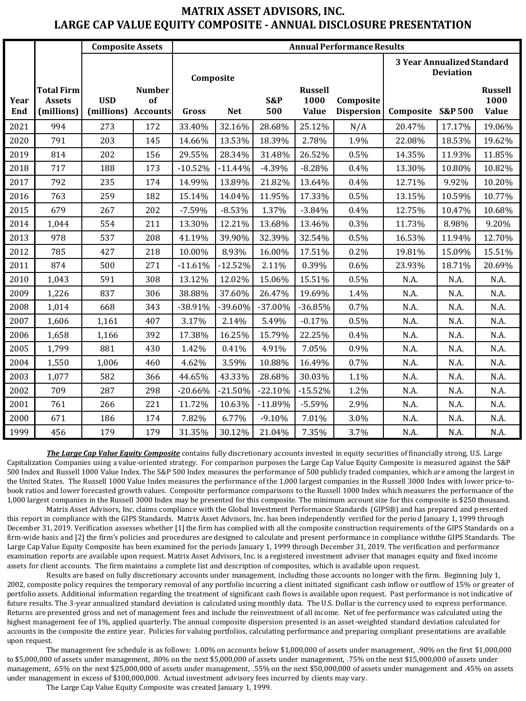# **MATRIX ASSET ADVISORS, INC. LARGE CAP VALUE EQUITY COMPOSITE - ANNUAL DISCLOSURE PRESENTATION**

|             |                                                  | <b>Composite Assets</b>  |                                        | <b>Annual Performance Results</b> |            |            |                                 |                                |                  |                    |                                        |
|-------------|--------------------------------------------------|--------------------------|----------------------------------------|-----------------------------------|------------|------------|---------------------------------|--------------------------------|------------------|--------------------|----------------------------------------|
|             |                                                  |                          |                                        | Composite                         |            |            |                                 | 3 Year Annualized Standard     | <b>Deviation</b> |                    |                                        |
| Year<br>End | <b>Total Firm</b><br><b>Assets</b><br>(millions) | <b>USD</b><br>(millions) | <b>Number</b><br>of<br><b>Accounts</b> | Gross                             | <b>Net</b> | S&P<br>500 | <b>Russell</b><br>1000<br>Value | Composite<br><b>Dispersion</b> | Composite        | <b>S&amp;P 500</b> | <b>Russell</b><br>1000<br><b>Value</b> |
| 2021        | 994                                              | 273                      | 172                                    | 33.40%                            | 32.16%     | 28.68%     | 25.12%                          | N/A                            | 20.47%           | 17.17%             | 19.06%                                 |
| 2020        | 791                                              | 203                      | 145                                    | 14.66%                            | 13.53%     | 18.39%     | 2.78%                           | 1.9%                           | 22.08%           | 18.53%             | 19.62%                                 |
| 2019        | 814                                              | 202                      | 156                                    | 29.55%                            | 28.34%     | 31.48%     | 26.52%                          | 0.5%                           | 14.35%           | 11.93%             | 11.85%                                 |
| 2018        | 717                                              | 188                      | 173                                    | $-10.52%$                         | $-11.44%$  | $-4.39%$   | $-8.28%$                        | 0.4%                           | 13.30%           | 10.80%             | 10.82%                                 |
| 2017        | 792                                              | 235                      | 174                                    | 14.99%                            | 13.89%     | 21.82%     | 13.64%                          | 0.4%                           | 12.71%           | 9.92%              | 10.20%                                 |
| 2016        | 763                                              | 259                      | 182                                    | 15.14%                            | 14.04%     | 11.95%     | 17.33%                          | 0.5%                           | 13.15%           | 10.59%             | 10.77%                                 |
| 2015        | 679                                              | 267                      | 202                                    | $-7.59%$                          | $-8.53%$   | 1.37%      | $-3.84%$                        | 0.4%                           | 12.75%           | 10.47%             | 10.68%                                 |
| 2014        | 1,044                                            | 554                      | 211                                    | 13.30%                            | 12.21%     | 13.68%     | 13.46%                          | 0.3%                           | 11.73%           | 8.98%              | 9.20%                                  |
| 2013        | 978                                              | 537                      | 208                                    | 41.19%                            | 39.90%     | 32.39%     | 32.54%                          | 0.5%                           | 16.53%           | 11.94%             | 12.70%                                 |
| 2012        | 785                                              | 427                      | 218                                    | 10.00%                            | 8.93%      | 16.00%     | 17.51%                          | 0.2%                           | 19.81%           | 15.09%             | 15.51%                                 |
| 2011        | 874                                              | 500                      | 271                                    | $-11.61%$                         | $-12.52%$  | 2.11%      | 0.39%                           | 0.6%                           | 23.93%           | 18.71%             | 20.69%                                 |
| 2010        | 1,043                                            | 591                      | 308                                    | 13.12%                            | 12.02%     | 15.06%     | 15.51%                          | 0.5%                           | N.A.             | N.A.               | N.A.                                   |
| 2009        | 1,226                                            | 837                      | 306                                    | 38.88%                            | 37.60%     | 26.47%     | 19.69%                          | 1.4%                           | N.A.             | N.A.               | N.A.                                   |
| 2008        | 1,014                                            | 668                      | 343                                    | -38.91%                           | -39.60%    | $-37.00%$  | $-36.85%$                       | 0.7%                           | N.A.             | N.A.               | N.A.                                   |
| 2007        | 1,606                                            | 1,161                    | 407                                    | 3.17%                             | 2.14%      | 5.49%      | $-0.17%$                        | 0.5%                           | N.A.             | N.A.               | N.A.                                   |
| 2006        | 1,658                                            | 1,166                    | 392                                    | 17.38%                            | 16.25%     | 15.79%     | 22.25%                          | 0.4%                           | N.A.             | N.A.               | N.A.                                   |
| 2005        | 1,799                                            | 881                      | 430                                    | 1.42%                             | 0.41%      | 4.91%      | 7.05%                           | 0.9%                           | N.A.             | N.A.               | N.A.                                   |
| 2004        | 1,550                                            | 1,006                    | 460                                    | 4.62%                             | 3.59%      | 10.88%     | 16.49%                          | 0.7%                           | N.A.             | N.A.               | N.A.                                   |
| 2003        | 1,077                                            | 582                      | 366                                    | 44.65%                            | 43.33%     | 28.68%     | 30.03%                          | 1.1%                           | N.A.             | N.A.               | N.A.                                   |
| 2002        | 709                                              | 287                      | 298                                    | $-20.66%$                         | $-21.50%$  | $-22.10%$  | $-15.52%$                       | 1.2%                           | N.A.             | N.A.               | N.A.                                   |
| 2001        | 761                                              | 266                      | 221                                    | 11.72%                            | 10.63%     | $-11.89%$  | $-5.59%$                        | 2.9%                           | N.A.             | N.A.               | N.A.                                   |
| 2000        | 671                                              | 186                      | 174                                    | 7.82%                             | 6.77%      | $-9.10%$   | 7.01%                           | 3.0%                           | N.A.             | N.A.               | N.A.                                   |
| 1999        | 456                                              | 179                      | 179                                    | 31.35%                            | 30.12%     | 21.04%     | 7.35%                           | 3.7%                           | N.A.             | N.A.               | N.A.                                   |

*The Large Cap Value Equity Composite* contains fully discretionary accounts invested in equity securities of financially strong, U.S. Large Capitalization Companies using a value-oriented strategy. For comparison purposes the Large Cap Value Equity Composite is measured against the S&P 500 Index and Russell 1000 Value Index. The S&P 500 Index measures the performance of 500 publicly traded companies, which are among the largest in the United States. The Russell 1000 Value Index measures the performance of the 1,000 largest companies in the Russell 3000 Index with lower price-tobook ratios and lower forecasted growth values. Composite performance comparisons to the Russell 1000 Index which measures the performance of the 1,000 largest companies in the Russell 3000 Index may be presented for this composite. The minimum account size for this composite is \$250 thousand.

Matrix Asset Advisors, Inc. claims compliance with the Global Investment Performance Standards (GIPS®) and has prepared and presented this report in compliance with the GIPS Standards. Matrix Asset Advisors, Inc. has been independently verified for the period January 1, 1999 through December 31, 2019. Verification assesses whether [1] the firm has complied with all the composite construction requirements of the GIPS Standards on a firm-wide basis and [2] the firm's policies and procedures are designed to calculate and present performance in compliance with the GIPS Standards. The Large Cap Value Equity Composite has been examined for the periods January 1, 1999 through December 31, 2019. The verification and performance examination reports are available upon request. Matrix Asset Advisors, Inc. is a registered investment adviser that manages equity and fixed income assets for client accounts. The firm maintains a complete list and description of composites, which is available upon request.

Results are based on fully discretionary accounts under management, including those accounts no longer with the firm. Beginning July 1, 2002, composite policy requires the temporary removal of any portfolio incurring a client initiated significant cash inflow or outflow of 15% or greater of portfolio assets. Additional information regarding the treatment of significant cash flows is available upon request. Past performance is not indicative of future results. The 3-year annualized standard deviation is calculated using monthly data. The U.S. Dollar is the currency used to express performance. Returns are presented gross and net of management fees and include the reinvestment of all income. Net of fee performance was calculated using the highest management fee of 1%, applied quarterly. The annual composite dispersion presented is an asset-weighted standard deviation calculated for accounts in the composite the entire year. Policies for valuing portfolios, calculating performance and preparing compliant presentations are available upon request.

The management fee schedule is as follows: 1.00% on accounts below \$1,000,000 of assets under management, .90% on the first \$1,000,000 to \$5,000,000 of assets under management, .80% on the next \$5,000,000 of assets under management, .75% on the next \$15,000,000 of assets under management, .65% on the next \$25,000,000 of assets under management, .55% on the next \$50,000,000 of assets under management and .45% on assets under management in excess of \$100,000,000. Actual investment advisory fees incurred by clients may vary.

The Large Cap Value Equity Composite was created January 1, 1999.